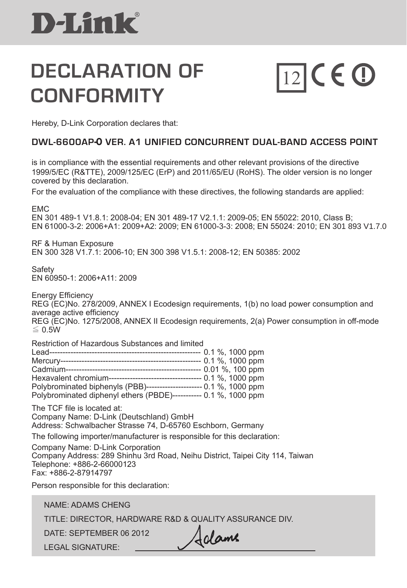### **DECLARATION OF CONFORMITY**

# $12$ CEO

Hereby, D-Link Corporation declares that:

#### **DWL-6600AP-O VER. A1 Unified Concurrent Dual-band Access Point**

is in compliance with the essential requirements and other relevant provisions of the directive 1999/5/EC (R&TTE), 2009/125/EC (ErP) and 2011/65/EU (RoHS). The older version is no longer covered by this declaration.

For the evaluation of the compliance with these directives, the following standards are applied:

EMC EN 301 489-1 V1.8.1: 2008-04; EN 301 489-17 V2.1.1: 2009-05; EN 55022: 2010, Class B; EN 61000-3-2: 2006+A1: 2009+A2: 2009; EN 61000-3-3: 2008; EN 55024: 2010; EN 301 893 V1.7.0

RF & Human Exposure EN 300 328 V1.7.1: 2006-10; EN 300 398 V1.5.1: 2008-12; EN 50385: 2002

**Safety** EN 60950-1: 2006+A11: 2009

Energy Efficiency REG (EC)No. 278/2009, ANNEX I Ecodesign requirements, 1(b) no load power consumption and average active efficiency REG (EC)No. 1275/2008, ANNEX II Ecodesign requirements, 2(a) Power consumption in off-mode  $<$  0.5W

Restriction of Hazardous Substances and limited

|                                                                  |  | -- 0.1 %, 1000 ppm  |  |
|------------------------------------------------------------------|--|---------------------|--|
|                                                                  |  | $-0.01$ %, 100 ppm  |  |
| Hexavalent chromium----------------------------------            |  | --- 0.1 %, 1000 ppm |  |
| Polybrominated biphenyls (PBB)------------------                 |  | -- 0.1 %, 1000 ppm  |  |
| Polybrominated diphenyl ethers (PBDE)----------- 0.1 %, 1000 ppm |  |                     |  |

The TCF file is located at: Company Name: D-Link (Deutschland) GmbH Address: Schwalbacher Strasse 74, D-65760 Eschborn, Germany

The following importer/manufacturer is responsible for this declaration:

Company Name: D-Link Corporation Company Address: 289 Shinhu 3rd Road, Neihu District, Taipei City 114, Taiwan Telephone: +886-2-66000123 Fax: +886-2-87914797

Person responsible for this declaration:

NAME: ADAMS CHENG

TITLE: DIRECTOR, HARDWARE R&D & QUALITY ASSURANCE DIV.

DATE: September 06 2012

LEGAL SIGNATURE:

Adame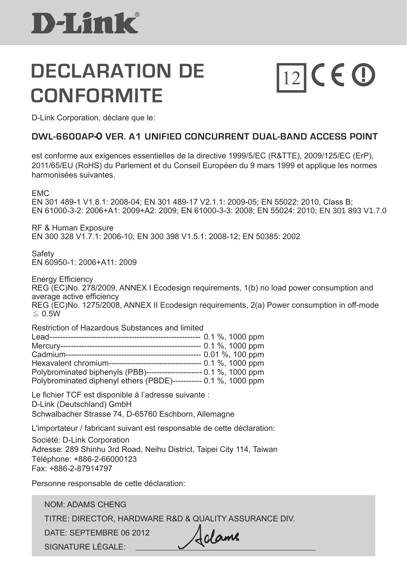### **DECLARATION DE CONFORMITE**

# $\boxed{12}$ CEO

D-Link Corporation, déclare que le:

#### **DWL-6600AP-O VER. A1 Unified Concurrent Dual-band Access Point**

 est conforme aux exigences essentielles de la directive 1999/5/EC (R&TTE), 2009/125/EC (ErP), 2011/65/EU (RoHS) du Parlement et du Conseil Européen du 9 mars 1999 et applique les normes harmonisées suivantes.

EMC

EN 301 489-1 V1.8.1: 2008-04; EN 301 489-17 V2.1.1: 2009-05; EN 55022: 2010, Class B; EN 61000-3-2: 2006+A1: 2009+A2: 2009; EN 61000-3-3: 2008; EN 55024: 2010; EN 301 893 V1.7.0

RF & Human Exposure EN 300 328 V1.7.1: 2006-10; EN 300 398 V1.5.1: 2008-12; EN 50385: 2002

Safety EN 60950-1: 2006+A11: 2009

Energy Efficiency REG (EC)No. 278/2009, ANNEX I Ecodesign requirements, 1(b) no load power consumption and average active efficiency REG (EC)No. 1275/2008, ANNEX II Ecodesign requirements, 2(a) Power consumption in off-mode ≦ 0.5W

Restriction of Hazardous Substances and limited

|                                                                     |  | - 0.1 %, 1000 ppm   |  |
|---------------------------------------------------------------------|--|---------------------|--|
|                                                                     |  | $-0.1$ %, 1000 ppm  |  |
|                                                                     |  | 0.01 %, 100 ppm     |  |
| Hexavalent chromium--------------------------------                 |  | --- 0.1 %, 1000 ppm |  |
| Polybrominated biphenyls (PBB)--------------------- 0.1 %, 1000 ppm |  |                     |  |
| Polybrominated diphenyl ethers (PBDE)----------- 0.1 %, 1000 ppm    |  |                     |  |
|                                                                     |  |                     |  |

Le fichier TCF est disponible à l'adresse suivante : D-Link (Deutschland) GmbH Schwalbacher Strasse 74, D-65760 Eschborn, Allemagne

L'importateur / fabricant suivant est responsable de cette déclaration: Société: D-Link Corporation Adresse: 289 Shinhu 3rd Road, Neihu District, Taipei City 114, Taiwan Téléphone: +886-2-66000123 Fax: +886-2-87914797

Personne responsable de cette déclaration:

NOM: ADAMS CHENG

TITRE: DIRECTOR, HARDWARE R&D & QUALITY ASSURANCE DIV.

DATE: SEPTEMBRE 06 2012

SIGNATURE LÉGALE:

Adame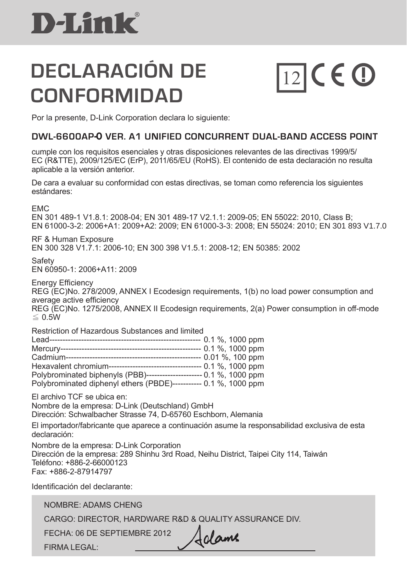### **DECLARACIÓN DE CONFORMIDAD**

# $\boxed{12}$ CEO

Por la presente, D-Link Corporation declara lo siguiente:

#### **DWL-6600AP-O VER. A1 Unified Concurrent Dual-band Access Point**

cumple con los requisitos esenciales y otras disposiciones relevantes de las directivas 1999/5/ EC (R&TTE), 2009/125/EC (ErP), 2011/65/EU (RoHS). El contenido de esta declaración no resulta aplicable a la versión anterior.

De cara a evaluar su conformidad con estas directivas, se toman como referencia los siguientes estándares:

EMC

EN 301 489-1 V1.8.1: 2008-04; EN 301 489-17 V2.1.1: 2009-05; EN 55022: 2010, Class B; EN 61000-3-2: 2006+A1: 2009+A2: 2009; EN 61000-3-3: 2008; EN 55024: 2010; EN 301 893 V1.7.0

RF & Human Exposure EN 300 328 V1.7.1: 2006-10; EN 300 398 V1.5.1: 2008-12; EN 50385: 2002

**Safety** EN 60950-1: 2006+A11: 2009

Energy Efficiency REG (EC)No. 278/2009, ANNEX I Ecodesign requirements, 1(b) no load power consumption and average active efficiency REG (EC)No. 1275/2008, ANNEX II Ecodesign requirements, 2(a) Power consumption in off-mode  $≤$  0.5W

Restriction of Hazardous Substances and limited

| Lead------                                                       |  | -- 0.1 %, 1000 ppm |  |
|------------------------------------------------------------------|--|--------------------|--|
| Mercury----<br>--------------------                              |  | $-0.1$ %, 1000 ppm |  |
| Cadmium----                                                      |  | - 0.01 %, 100 ppm  |  |
| Hexavalent chromium-------------------------------               |  | $-0.1$ %, 1000 ppm |  |
| Polybrominated biphenyls (PBB)----------------                   |  | $-0.1$ %, 1000 ppm |  |
| Polybrominated diphenyl ethers (PBDE)----------- 0.1 %, 1000 ppm |  |                    |  |

El archivo TCF se ubica en:

Nombre de la empresa: D-Link (Deutschland) GmbH Dirección: Schwalbacher Strasse 74, D-65760 Eschborn, Alemania

El importador/fabricante que aparece a continuación asume la responsabilidad exclusiva de esta

declaración:

Nombre de la empresa: D-Link Corporation Dirección de la empresa: 289 Shinhu 3rd Road, Neihu District, Taipei City 114, Taiwán Teléfono: +886-2-66000123 Fax: +886-2-87914797

Identificación del declarante:

NOMBRE: ADAMS CHENG CARGO: DIRECTOR, HARDWARE R&D & QUALITY ASSURANCE DIV. FECHA: 06 de septiembre 2012

FIRMA LEGAL:

Adame